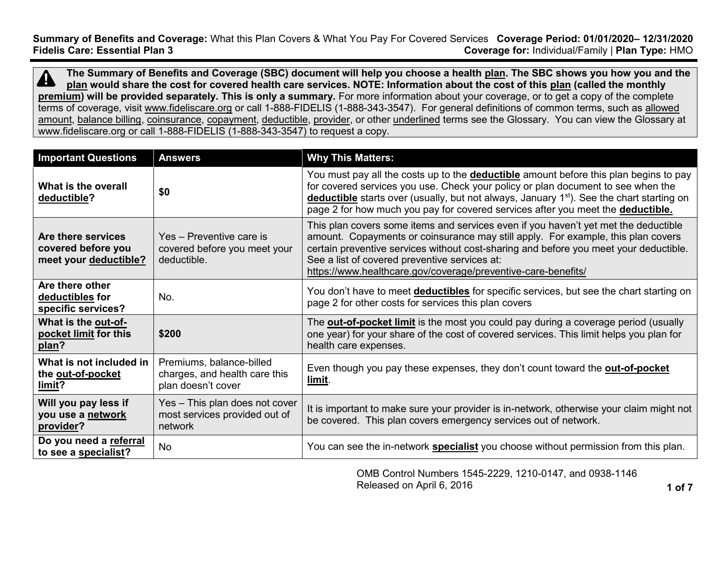**Summary of Benefits and Coverage:** What this Plan Covers & What You Pay For Covered Services **Coverage Period: 01/01/2020– 12/31/2020 Coverage for: Individual/Family | Plan Type: HMO** 

**The Summary of Benefits and Coverage (SBC) document will help you choose a health [plan.](https://www.healthcare.gov/sbc-glossary/#plan) The SBC shows you how you and the**   $\boldsymbol{\varDelta}$ **[plan](https://www.healthcare.gov/sbc-glossary/#plan) would share the cost for covered health care services. NOTE: Information about the cost of this [plan](https://www.healthcare.gov/sbc-glossary/#plan) (called the monthly [premium\)](https://www.healthcare.gov/sbc-glossary/#premium) will be provided separately. This is only a summary.** For more information about your coverage, or to get a copy of the complete terms of coverage, visit [www.fideliscare.org](http://www.fideliscare.org/) or call 1-888-FIDELIS (1-888-343-3547). For general definitions of common terms, such as [allowed](https://www.healthcare.gov/sbc-glossary/#allowed-amount)  [amount,](https://www.healthcare.gov/sbc-glossary/#allowed-amount) [balance billing,](https://www.healthcare.gov/sbc-glossary/#balance-billing) [coinsurance,](https://www.healthcare.gov/sbc-glossary/#coinsurance) [copayment,](https://www.healthcare.gov/sbc-glossary/#copayment) [deductible,](https://www.healthcare.gov/sbc-glossary/#deductible) [provider,](https://www.healthcare.gov/sbc-glossary/#provider) or other underlined terms see the Glossary. You can view the Glossary at www.fideliscare.org or call 1-888-FIDELIS (1-888-343-3547) to request a copy.

| <b>Important Questions</b>                                        | <b>Answers</b>                                                                  | <b>Why This Matters:</b>                                                                                                                                                                                                                                                                                                                                                           |
|-------------------------------------------------------------------|---------------------------------------------------------------------------------|------------------------------------------------------------------------------------------------------------------------------------------------------------------------------------------------------------------------------------------------------------------------------------------------------------------------------------------------------------------------------------|
| What is the overall<br>deductible?                                | \$0                                                                             | You must pay all the costs up to the <b>deductible</b> amount before this plan begins to pay<br>for covered services you use. Check your policy or plan document to see when the<br>deductible starts over (usually, but not always, January 1 <sup>st</sup> ). See the chart starting on<br>page 2 for how much you pay for covered services after you meet the deductible.       |
| Are there services<br>covered before you<br>meet your deductible? | Yes - Preventive care is<br>covered before you meet your<br>deductible.         | This plan covers some items and services even if you haven't yet met the deductible<br>amount. Copayments or coinsurance may still apply. For example, this plan covers<br>certain preventive services without cost-sharing and before you meet your deductible.<br>See a list of covered preventive services at:<br>https://www.healthcare.gov/coverage/preventive-care-benefits/ |
| Are there other<br>deductibles for<br>specific services?          | No.                                                                             | You don't have to meet <b>deductibles</b> for specific services, but see the chart starting on<br>page 2 for other costs for services this plan covers                                                                                                                                                                                                                             |
| What is the out-of-<br>pocket limit for this<br>plan?             | \$200                                                                           | The <b>out-of-pocket limit</b> is the most you could pay during a coverage period (usually<br>one year) for your share of the cost of covered services. This limit helps you plan for<br>health care expenses.                                                                                                                                                                     |
| What is not included in<br>the out-of-pocket<br>limit?            | Premiums, balance-billed<br>charges, and health care this<br>plan doesn't cover | Even though you pay these expenses, they don't count toward the out-of-pocket<br>limit.                                                                                                                                                                                                                                                                                            |
| Will you pay less if<br>you use a network<br>provider?            | Yes - This plan does not cover<br>most services provided out of<br>network      | It is important to make sure your provider is in-network, otherwise your claim might not<br>be covered. This plan covers emergency services out of network.                                                                                                                                                                                                                        |
| Do you need a referral<br>to see a specialist?                    | <b>No</b>                                                                       | You can see the in-network specialist you choose without permission from this plan.                                                                                                                                                                                                                                                                                                |

OMB Control Numbers 1545-2229, 1210-0147, and 0938-1146 Released on April 6, 2016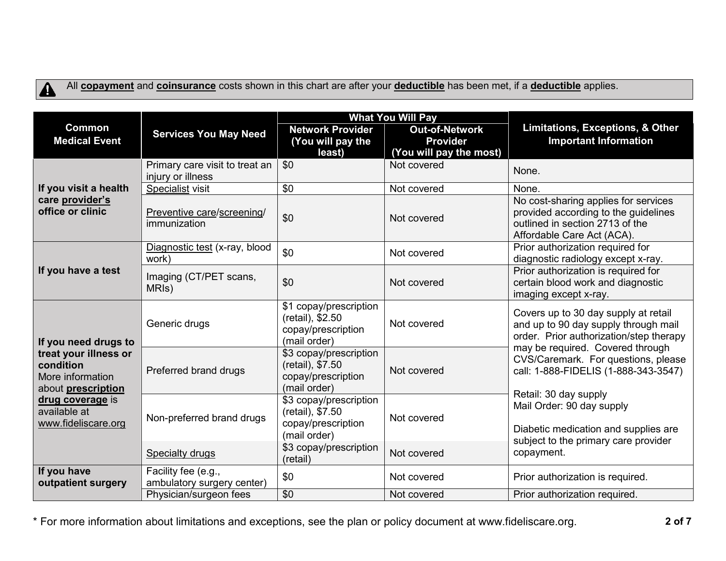# $\blacktriangle$

All **[copayment](https://www.healthcare.gov/sbc-glossary/#copayment)** and **[coinsurance](https://www.healthcare.gov/sbc-glossary/#coinsurance)** costs shown in this chart are after your **[deductible](https://www.healthcare.gov/sbc-glossary/#deductible)** has been met, if a **[deductible](https://www.healthcare.gov/sbc-glossary/#deductible)** applies.

|                                                                                     |                                                     |                                                                                  | <b>What You Will Pay</b>                                            | Limitations, Exceptions, & Other<br><b>Important Information</b>                                                                              |  |
|-------------------------------------------------------------------------------------|-----------------------------------------------------|----------------------------------------------------------------------------------|---------------------------------------------------------------------|-----------------------------------------------------------------------------------------------------------------------------------------------|--|
| <b>Common</b><br><b>Medical Event</b>                                               | <b>Services You May Need</b>                        | <b>Network Provider</b><br>(You will pay the<br>least)                           | <b>Out-of-Network</b><br><b>Provider</b><br>(You will pay the most) |                                                                                                                                               |  |
|                                                                                     | Primary care visit to treat an<br>injury or illness | \$0                                                                              | Not covered                                                         | None.                                                                                                                                         |  |
| If you visit a health                                                               | Specialist visit                                    | \$0                                                                              | Not covered                                                         | None.                                                                                                                                         |  |
| care provider's<br>office or clinic                                                 | Preventive care/screening/<br>immunization          | \$0                                                                              | Not covered                                                         | No cost-sharing applies for services<br>provided according to the guidelines<br>outlined in section 2713 of the<br>Affordable Care Act (ACA). |  |
|                                                                                     | Diagnostic test (x-ray, blood<br>work)              | \$0                                                                              | Not covered                                                         | Prior authorization required for<br>diagnostic radiology except x-ray.                                                                        |  |
| If you have a test                                                                  | Imaging (CT/PET scans,<br>MRI <sub>s</sub> )        | \$0                                                                              | Not covered                                                         | Prior authorization is required for<br>certain blood work and diagnostic<br>imaging except x-ray.                                             |  |
| If you need drugs to                                                                | Generic drugs                                       | \$1 copay/prescription<br>(retail), \$2.50<br>copay/prescription<br>(mail order) | Not covered                                                         | Covers up to 30 day supply at retail<br>and up to 90 day supply through mail<br>order. Prior authorization/step therapy                       |  |
| treat your illness or<br>condition<br>More information<br>about <b>prescription</b> | Preferred brand drugs                               | \$3 copay/prescription<br>(retail), \$7.50<br>copay/prescription<br>(mail order) | Not covered                                                         | may be required. Covered through<br>CVS/Caremark. For questions, please<br>call: 1-888-FIDELIS (1-888-343-3547)<br>Retail: 30 day supply      |  |
| drug coverage is<br>available at<br>www.fideliscare.org                             | Non-preferred brand drugs                           | \$3 copay/prescription<br>(retail), \$7.50<br>copay/prescription<br>(mail order) | Not covered                                                         | Mail Order: 90 day supply<br>Diabetic medication and supplies are<br>subject to the primary care provider                                     |  |
|                                                                                     | <b>Specialty drugs</b>                              | \$3 copay/prescription<br>(retail)                                               | Not covered                                                         | copayment.                                                                                                                                    |  |
| If you have<br>outpatient surgery                                                   | Facility fee (e.g.,<br>ambulatory surgery center)   | \$0                                                                              | Not covered                                                         | Prior authorization is required.                                                                                                              |  |
|                                                                                     | Physician/surgeon fees                              | \$0                                                                              | Not covered                                                         | Prior authorization required.                                                                                                                 |  |

\* For more information about limitations and exceptions, see the plan or policy document at www.fideliscare.org. **2 of 7**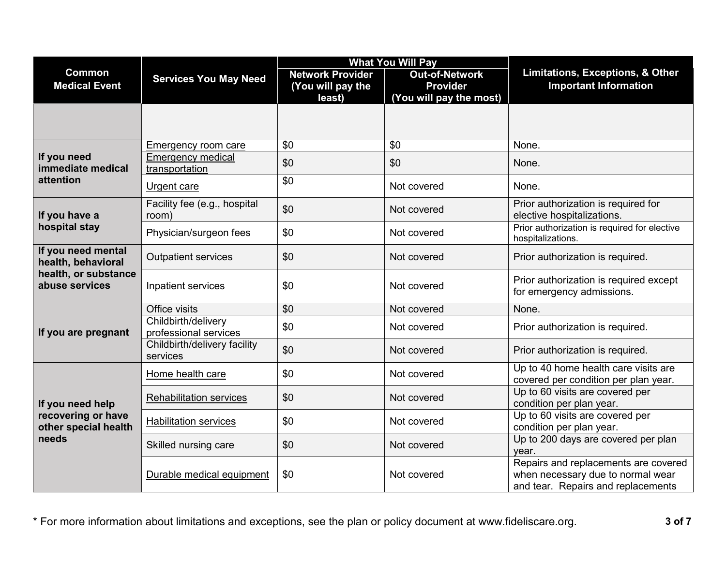|                                            |                                              |                                                        | <b>What You Will Pay</b>                                            | Limitations, Exceptions, & Other<br><b>Important Information</b>                                                |  |
|--------------------------------------------|----------------------------------------------|--------------------------------------------------------|---------------------------------------------------------------------|-----------------------------------------------------------------------------------------------------------------|--|
| <b>Common</b><br><b>Medical Event</b>      | <b>Services You May Need</b>                 | <b>Network Provider</b><br>(You will pay the<br>least) | <b>Out-of-Network</b><br><b>Provider</b><br>(You will pay the most) |                                                                                                                 |  |
|                                            |                                              |                                                        |                                                                     |                                                                                                                 |  |
|                                            | Emergency room care                          | \$0                                                    | \$0                                                                 | None.                                                                                                           |  |
| If you need<br>immediate medical           | <b>Emergency medical</b><br>transportation   | \$0                                                    | \$0                                                                 | None.                                                                                                           |  |
| attention                                  | Urgent care                                  | \$0                                                    | Not covered                                                         | None.                                                                                                           |  |
| If you have a                              | Facility fee (e.g., hospital<br>room)        | \$0                                                    | Not covered                                                         | Prior authorization is required for<br>elective hospitalizations.                                               |  |
| hospital stay                              | Physician/surgeon fees                       | \$0                                                    | Not covered                                                         | Prior authorization is required for elective<br>hospitalizations.                                               |  |
| If you need mental<br>health, behavioral   | <b>Outpatient services</b>                   | \$0                                                    | Not covered                                                         | Prior authorization is required.                                                                                |  |
| health, or substance<br>abuse services     | Inpatient services                           | \$0                                                    | Not covered                                                         | Prior authorization is required except<br>for emergency admissions.                                             |  |
|                                            | Office visits                                | \$0                                                    | Not covered                                                         | None.                                                                                                           |  |
| If you are pregnant                        | Childbirth/delivery<br>professional services | \$0                                                    | Not covered                                                         | Prior authorization is required.                                                                                |  |
|                                            | Childbirth/delivery facility<br>services     | \$0                                                    | Not covered                                                         | Prior authorization is required.                                                                                |  |
|                                            | Home health care                             | \$0                                                    | Not covered                                                         | Up to 40 home health care visits are<br>covered per condition per plan year.                                    |  |
| If you need help                           | <b>Rehabilitation services</b>               | \$0                                                    | Not covered                                                         | Up to 60 visits are covered per<br>condition per plan year.                                                     |  |
| recovering or have<br>other special health | <b>Habilitation services</b>                 | \$0                                                    | Not covered                                                         | Up to 60 visits are covered per<br>condition per plan year.                                                     |  |
| needs                                      | Skilled nursing care                         | \$0                                                    | Not covered                                                         | Up to 200 days are covered per plan<br>year.                                                                    |  |
|                                            | Durable medical equipment                    | \$0                                                    | Not covered                                                         | Repairs and replacements are covered<br>when necessary due to normal wear<br>and tear. Repairs and replacements |  |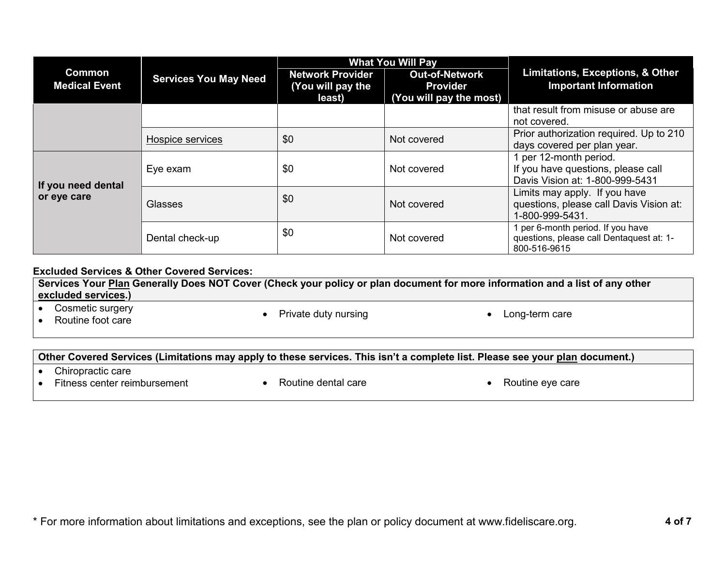|                                       | <b>Services You May Need</b> |                                                        | <b>What You Will Pay</b>                                            | <b>Limitations, Exceptions, &amp; Other</b><br><b>Important Information</b>                   |  |
|---------------------------------------|------------------------------|--------------------------------------------------------|---------------------------------------------------------------------|-----------------------------------------------------------------------------------------------|--|
| <b>Common</b><br><b>Medical Event</b> |                              | <b>Network Provider</b><br>(You will pay the<br>least) | <b>Out-of-Network</b><br><b>Provider</b><br>(You will pay the most) |                                                                                               |  |
|                                       |                              |                                                        |                                                                     | that result from misuse or abuse are<br>not covered.                                          |  |
|                                       | Hospice services             | \$0                                                    | Not covered                                                         | Prior authorization required. Up to 210<br>days covered per plan year.                        |  |
| If you need dental                    | Eye exam                     | \$0                                                    | Not covered                                                         | per 12-month period.<br>If you have questions, please call<br>Davis Vision at: 1-800-999-5431 |  |
| or eye care                           | Glasses                      | \$0                                                    | Not covered                                                         | Limits may apply. If you have<br>questions, please call Davis Vision at:<br>1-800-999-5431.   |  |
|                                       | Dental check-up              | \$0                                                    | Not covered                                                         | per 6-month period. If you have<br>questions, please call Dentaquest at: 1-<br>800-516-9615   |  |

#### **Excluded Services & Other Covered Services:**

**Services Your [Plan](https://www.healthcare.gov/sbc-glossary/#plan) Generally Does NOT Cover (Check your policy or plan document for more information and a list of any other [excluded services.](https://www.healthcare.gov/sbc-glossary/#excluded-services))**

• Cosmetic surgery<br>• Routine foot care

• Private duty nursing **CONF CONGERVITY CONGERVITY CONGERVITY CONGERVITY CONGERVITY** 

#### **Other Covered Services (Limitations may apply to these services. This isn't a complete list. Please see your [plan](https://www.healthcare.gov/sbc-glossary/#plan) document.)**

- Chiropractic care
- Fitness center reimbursement Routine dental care Routine eye care
	-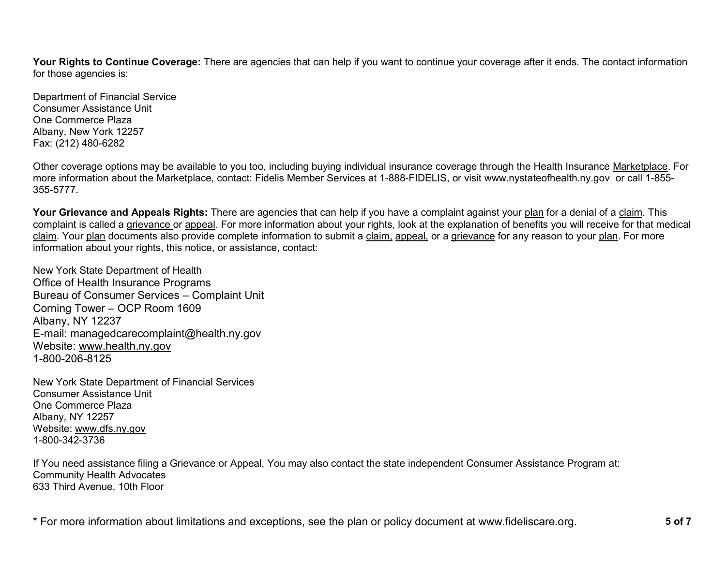Your Rights to Continue Coverage: There are agencies that can help if you want to continue your coverage after it ends. The contact information for those agencies is:

Department of Financial Service Consumer Assistance Unit One Commerce Plaza Albany, New York 12257 Fax: (212) 480-6282

Other coverage options may be available to you too, including buying individual insurance coverage through the Health Insurance [Marketplace.](https://www.healthcare.gov/sbc-glossary/#marketplace) For more information about the [Marketplace,](https://www.healthcare.gov/sbc-glossary/#marketplace) contact: Fidelis Member Services at 1-888-FIDELIS, or visit www.nystateofhealth.ny.gov or call 1-855- 355-5777.

**Your Grievance and Appeals Rights:** There are agencies that can help if you have a complaint against your [plan](https://www.healthcare.gov/sbc-glossary/#plan) for a denial of a [claim.](https://www.healthcare.gov/sbc-glossary/#claim) This complaint is called a [grievance](https://www.healthcare.gov/sbc-glossary/#grievance) or [appeal.](https://www.healthcare.gov/sbc-glossary/#appeal) For more information about your rights, look at the explanation of benefits you will receive for that medical [claim.](https://www.healthcare.gov/sbc-glossary/#claim) Your [plan](https://www.healthcare.gov/sbc-glossary/#plan) documents also provide complete information to submit a [claim,](https://www.healthcare.gov/sbc-glossary/#claim) [appeal,](https://www.healthcare.gov/sbc-glossary/#appeal) or a [grievance](https://www.healthcare.gov/sbc-glossary/#grievance) for any reason to your [plan.](https://www.healthcare.gov/sbc-glossary/#plan) For more information about your rights, this notice, or assistance, contact:

New York State Department of Health Office of Health Insurance Programs Bureau of Consumer Services – Complaint Unit Corning Tower – OCP Room 1609 Albany, NY 12237 E-mail: managedcarecomplaint@health.ny.gov Website: [www.health.ny.gov](http://www.health.ny.gov/) 1-800-206-8125

New York State Department of Financial Services Consumer Assistance Unit One Commerce Plaza Albany, NY 12257 Website: [www.dfs.ny.gov](http://www.dfs.ny.gov/) 1-800-342-3736

If You need assistance filing a Grievance or Appeal, You may also contact the state independent Consumer Assistance Program at: Community Health Advocates 633 Third Avenue, 10th Floor

\* For more information about limitations and exceptions, see the plan or policy document at www.fideliscare.org. **5 of 7**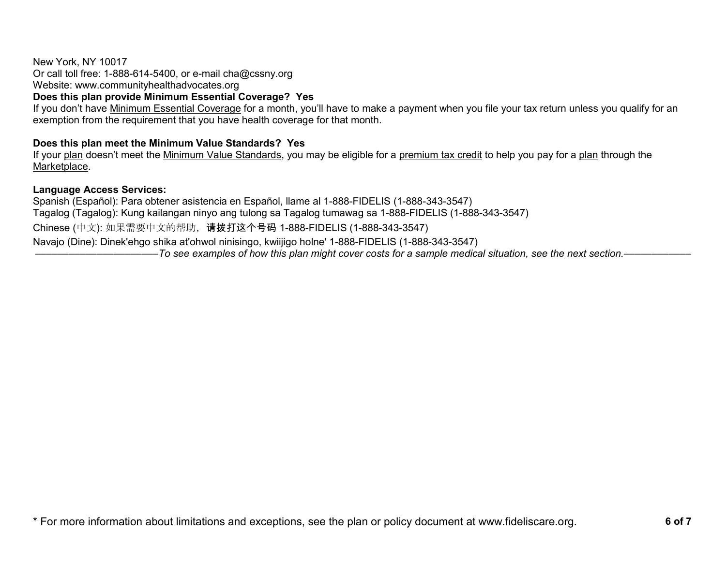### New York, NY 10017 Or call toll free: 1-888-614-5400, or e-mail cha@cssny.org Website: www.communityhealthadvocates.org

# **Does this plan provide Minimum Essential Coverage? Yes**

If you don't have [Minimum Essential Coverage](https://www.healthcare.gov/sbc-glossary/#minimum-essential-coverage) for a month, you'll have to make a payment when you file your tax return unless you qualify for an exemption from the requirement that you have health coverage for that month.

## **Does this plan meet the Minimum Value Standards? Yes**

If your [plan](https://www.healthcare.gov/sbc-glossary/#plan) doesn't meet the [Minimum Value Standards,](https://www.healthcare.gov/sbc-glossary/#minimum-value-standard) you may be eligible for a [premium tax credit](https://www.healthcare.gov/sbc-glossary/#premium-tax-credits) to help you pay for a [plan](https://www.healthcare.gov/sbc-glossary/#plan) through the [Marketplace.](https://www.healthcare.gov/sbc-glossary/#marketplace)

### **Language Access Services:**

Spanish (Español): Para obtener asistencia en Español, llame al 1-888-FIDELIS (1-888-343-3547) Tagalog (Tagalog): Kung kailangan ninyo ang tulong sa Tagalog tumawag sa 1-888-FIDELIS (1-888-343-3547) Chinese (中文): 如果需要中文的帮助,请拨打这个号码 1-888-FIDELIS (1-888-343-3547) Navajo (Dine): Dinek'ehgo shika at'ohwol ninisingo, kwiijigo holne' 1-888-FIDELIS (1-888-343-3547) ––––––––––––––––––––––*To see examples of how this plan might cover costs for a sample medical situation, see the next section.–––––––––––*–